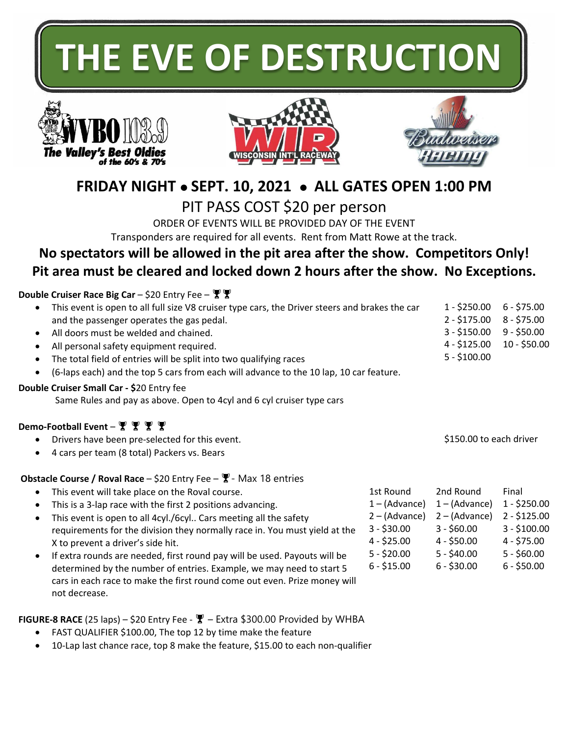# **THE EVE OF DESTRUCTION**







# **FRIDAY NIGHT** ⚫ **SEPT. 10, 2021** ⚫ **ALL GATES OPEN 1:00 PM**

PIT PASS COST \$20 per person

ORDER OF EVENTS WILL BE PROVIDED DAY OF THE EVENT Transponders are required for all events. Rent from Matt Rowe at the track.

## **No spectators will be allowed in the pit area after the show. Competitors Only! Pit area must be cleared and locked down 2 hours after the show. No Exceptions.**

## **Double Cruiser Race Big Car** – \$20 Entry Fee –

| This event is open to all full size V8 cruiser type cars, the Driver steers and brakes the car<br>$\bullet$<br>and the passenger operates the gas pedal.<br>All doors must be welded and chained.<br>$\bullet$<br>All personal safety equipment required.<br>٠<br>The total field of entries will be split into two qualifying races<br>$\bullet$<br>(6-laps each) and the top 5 cars from each will advance to the 10 lap, 10 car feature.<br>$\bullet$<br>Double Cruiser Small Car - \$20 Entry fee<br>Same Rules and pay as above. Open to 4cyl and 6 cyl cruiser type cars |                                                                                                                                                                                                                                                                                                                                                                                                                                                                                                                                                                                           |                                                                                                                 | $1 - $250.00$<br>$2 - $175.00$<br>$3 - $150.00$<br>$4 - $125.00$<br>$5 - $100.00$                              | $6 - $75.00$<br>$8 - $75.00$<br>$9 - $50.00$<br>$10 - $50.00$                                            |
|--------------------------------------------------------------------------------------------------------------------------------------------------------------------------------------------------------------------------------------------------------------------------------------------------------------------------------------------------------------------------------------------------------------------------------------------------------------------------------------------------------------------------------------------------------------------------------|-------------------------------------------------------------------------------------------------------------------------------------------------------------------------------------------------------------------------------------------------------------------------------------------------------------------------------------------------------------------------------------------------------------------------------------------------------------------------------------------------------------------------------------------------------------------------------------------|-----------------------------------------------------------------------------------------------------------------|----------------------------------------------------------------------------------------------------------------|----------------------------------------------------------------------------------------------------------|
| Demo-Football Event – 빻 빻 빻 빻<br>$\bullet$<br>$\bullet$                                                                                                                                                                                                                                                                                                                                                                                                                                                                                                                        | Drivers have been pre-selected for this event.<br>4 cars per team (8 total) Packers vs. Bears                                                                                                                                                                                                                                                                                                                                                                                                                                                                                             |                                                                                                                 | \$150.00 to each driver                                                                                        |                                                                                                          |
| $\bullet$<br>$\bullet$<br>$\bullet$<br>X to prevent a driver's side hit.<br>$\bullet$                                                                                                                                                                                                                                                                                                                                                                                                                                                                                          | <b>Obstacle Course / Roval Race</b> - \$20 Entry Fee - $\mathbb{F}$ - Max 18 entries<br>This event will take place on the Roval course.<br>This is a 3-lap race with the first 2 positions advancing.<br>This event is open to all 4cyl./6cyl Cars meeting all the safety<br>requirements for the division they normally race in. You must yield at the<br>If extra rounds are needed, first round pay will be used. Payouts will be<br>determined by the number of entries. Example, we may need to start 5<br>cars in each race to make the first round come out even. Prize money will | 1st Round<br>$1 - (Advance)$<br>$2 - (Advance)$<br>$3 - $30.00$<br>$4 - $25.00$<br>$5 - $20.00$<br>$6 - $15.00$ | 2nd Round<br>$1 - (Advance)$<br>$2 - (Advance)$<br>$3 - $60.00$<br>$4 - $50.00$<br>5 - \$40.00<br>$6 - $30.00$ | Final<br>$1 - $250.00$<br>$2 - $125.00$<br>$3 - $100.00$<br>$4 - $75.00$<br>$5 - $60.00$<br>$6 - $50.00$ |

**FIGURE-8 RACE** (25 laps) – \$20 Entry Fee -  $\Psi$  – Extra \$300.00 Provided by WHBA

FAST QUALIFIER \$100.00, The top 12 by time make the feature

not decrease.

• 10-Lap last chance race, top 8 make the feature, \$15.00 to each non-qualifier